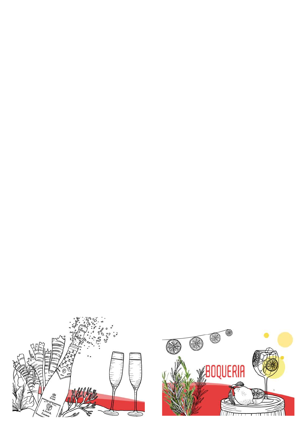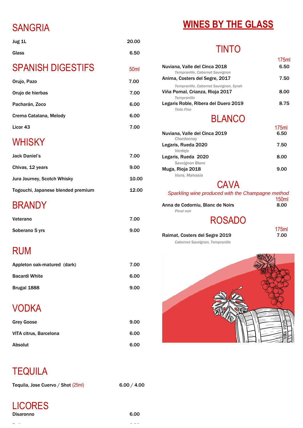# SANGRIA

Jug 1L 20.00

Glass 6.50

| <b>SPANISH DIGESTIFS</b>           | 50 <sub>ml</sub> |
|------------------------------------|------------------|
| Orujo, Pazo                        | 7.00             |
| Orujo de hierbas                   | 7.00             |
| Pacharán, Zoco                     | 6.00             |
| Crema Catalana, Melody             | 6.00             |
| Licor 43                           | 7.00             |
| <b>WHISKY</b>                      |                  |
| <b>Jack Daniel's</b>               | 7.00             |
| Chivas, 12 years                   | 9.00             |
| <b>Jura Journey, Scotch Whisky</b> | 10.00            |
| Togouchi, Japanese blended premium | 12.00            |
| <b>BRANDY</b>                      |                  |
| Veterano                           | 7.00             |
| Soberano 5 yrs                     | 9.00             |
| RUM                                |                  |
| Appleton oak-matured (dark)        | 7.00             |
| <b>Bacardi White</b>               | 6.00             |
|                                    |                  |

| Brugal 1888 | 9.00 |
|-------------|------|
|             |      |

# VODKA

| <b>Grey Goose</b> | 9.00 |
|-------------------|------|
|-------------------|------|

LICORES Disaronno 6.00

# **WINES BY THE GLASS**

# TINTO

|                                                                  | 175ml |
|------------------------------------------------------------------|-------|
| Nuviana, Valle del Cinca 2018<br>Tempranillo, Cabernet Sauvignon | 6.50  |
| Anima, Costers del Segre, 2017                                   | 7.50  |
| Tempranillo, Cabernet Sauvignon, Syrah                           |       |
| Viña Pomal, Crianza, Rioja 2017<br><b>Tempranillo</b>            | 8.00  |
| Legaris Roble, Ribera del Duero 2019<br><b>Tinto Fino</b>        | 8.75  |
| <b>BLANCO</b>                                                    |       |
|                                                                  | 175ml |
| Nuviana, Valle del Cinca 2019<br>Chardonnay                      | 6.50  |
| Legaris, Rueda 2020                                              | 7.50  |
| Verdejo                                                          |       |
| Legaris, Rueda 2020                                              | 8.00  |
| <b>Sauvignon Blanc</b>                                           |       |
| Muga, Rioja 2018                                                 | 9.00  |
| Viura, Malvasía                                                  |       |

## **CAVA**

| Sparkling wine produced with the Champagne method |              |
|---------------------------------------------------|--------------|
|                                                   | <b>150ml</b> |
| Anna de Codorniu, Blanc de Noirs                  | 8.00         |
| <b>Pinot noir</b>                                 |              |
| <b>ROSADO</b>                                     |              |
|                                                   | 175ml        |

| Raimat, Costers del Segre 2019  | 7.00 |
|---------------------------------|------|
| Cabernet Sauvignon, Tempranillo |      |



VITA citrus, Barcelona 6.00

Absolut 6.00

## **TEQUILA**

Tequila, Jose Cuervo / Shot  $(25ml)$  6.00 / 4.00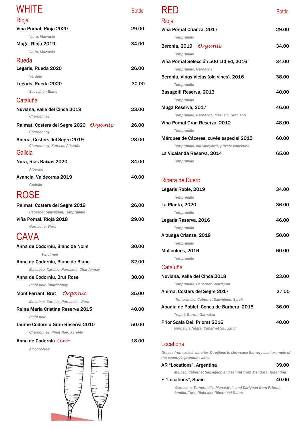*Garnacha Negra, Cabernet Sauvignon*

## Locations

*Grapes from select wineries & regions to showcase the very best example of the country's premium wines*

## AR "Locations", Argentina 39.00

*Malbec, Cabernet Sauvignon and Tannat from Mendoza, Argentina*

## E "Locations", Spain 40.00

*[Garnacha,](https://www.reversewinesnob.com/search/label/garnacha/) [Tempranillo,](https://www.reversewinesnob.com/search/label/tempranillo/) [Monastrell,](https://www.reversewinesnob.com/search/label/monastrell/) and [Carignan](https://www.reversewinesnob.com/search/label/carignan/) from Priorat, Jumilla, Toro, Rioja and Ribera del Duero*

| <b>WHITE</b>                                                    | <b>Bottle</b> |
|-----------------------------------------------------------------|---------------|
| Rioja                                                           |               |
| Viña Pomal, Rioja 2020                                          | 29.00         |
| Viura, Malvasia                                                 |               |
| Muga, Rioja 2019                                                | 34.00         |
| Viura, Malvasia                                                 |               |
| Rueda                                                           |               |
| Legaris, Rueda 2020                                             | 26.00         |
| Verdejo                                                         |               |
| Legaris, Rueda 2020                                             | 30.00         |
| <b>Sauvignon Blanc</b>                                          |               |
| Cataluña                                                        |               |
| Nuviana, Valle del Cinca 2019<br>Chardonnay                     | 23.00         |
| Raimat, Costers del Segre 2020 Organic<br>Chardonnay            | 26.00         |
| Anima, Costers del Segre 2019<br>Chardonnay, Xarel.lo, Albariño | 28.00         |
| Galicia                                                         |               |
| Nora, Rias Baixas 2020                                          | 34.00         |
| <b>Albariño</b>                                                 |               |
| Avancia, Valdeorras 2019                                        | 40.00         |
| Godello                                                         |               |
| <b>ROSE</b>                                                     |               |
| Raimat, Costers del Segre 2019                                  | 26.00         |
| Cabernet Sauvignon, Tempranillo                                 |               |
| Viña Pomal, Rioja 2018<br>Garnacha, Viura                       | 29.00         |
| CAVA                                                            |               |
| Anna de Codorniu, Blanc de Noirs                                | 30.00         |
| Pinot noir                                                      |               |
| Anna de Codorniu, Blanc de Blanc                                | 32.00         |
| Macabeo, Xarel.lo, Parellada, Chardonnay                        |               |
| Anna de Codorniu, Brut Rose                                     | 30.00         |
| Pinot noir, Chardonnay                                          |               |
| <b>Mont Ferrant, Brut</b><br>Organic                            | 35.00         |
| Macabeo, Xarel.lo, Parellada, Viura                             |               |
| Reina Maria Cristina Reserva 2015<br>Pinot noir                 | 40.00         |
|                                                                 |               |

| RED                                            | <b>Bottle</b> |
|------------------------------------------------|---------------|
| Rioja                                          |               |
| Viña Pomal Crianza, 2017                       | 29.00         |
| <b>Tempranillo</b>                             |               |
| Beronia, 2019 Organic                          | 34.00         |
| <b>Tempranillo</b>                             |               |
| Viña Pomal Selección 500 Ltd Ed, 2016          | 34.00         |
| Tempranillo, Garnacha                          |               |
| Beronia, Viñas Viejas (old vines), 2016        | 38.00         |
| <b>Tempranillo</b>                             |               |
| Basagoiti Reserva, 2013                        | 40.00         |
| Tempranillo                                    |               |
| Muga Reserva, 2017                             | 46.00         |
| Tempranillo, Garnacha, Mazuelo, Graciano       |               |
| Viña Pomal Gran Reserva, 2012                  | 48.00         |
| <b>Tempranillo</b>                             |               |
| Márques de Cáceres, cuvée especial 2015        | 60.00         |
| Tempranillo, old vineyards, private collection |               |
| La Vicalanda Reserva, 2014                     | 65.00         |
| <b>Tempranillo</b>                             |               |
|                                                |               |
|                                                |               |
| Ribera de Duero                                |               |
| Legaris Roble, 2019                            | 34.00         |
| Tempranillo                                    |               |
| La Planta, 2020                                | 36.00         |
| Tempranillo                                    |               |
| Legaris Reserva, 2016                          | 46.00         |
| <b>Tempranillo</b>                             |               |
| Arzuaga Crianza, 2018                          | 50.00         |
| Tempranillo                                    |               |
| Malleolues, 2016                               | 60.00         |
| <b>Tempranillo</b>                             |               |
| Cataluña                                       |               |
| Nuviana, Valle del Cinca 2018                  | 23.00         |
| Tempranillo, Cabernet Sauvignon                |               |
| Anima, Costers del Segre 2017                  | 27.00         |
| Tempranillo, Cabernet Sauvignon, Syrah         |               |
| Abadía de Poblet, Conca de Barberá, 2015       | 36.00         |
| Trepat, Garrut, Garnatxa                       |               |

### Jaume Codorniu Gran Reserva 2010 50.00

*Chardonnay, Pinot Noir, Xarel-lo*

### Anna de Codorniu *Zero* 18.00

*Alcohol-free*